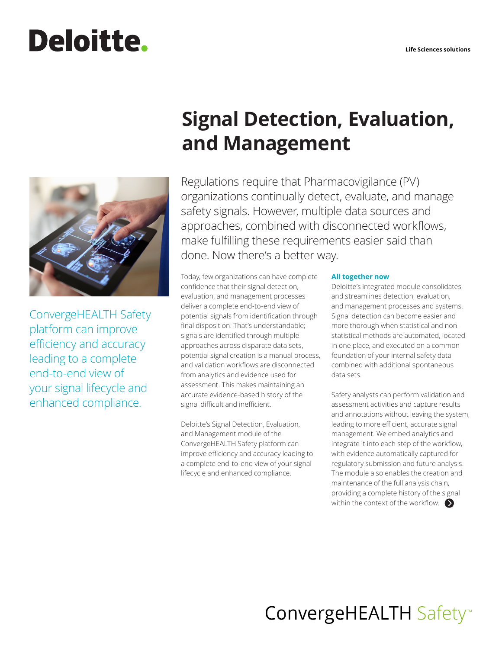# **Deloitte.**



ConvergeHEALTH Safety platform can improve efficiency and accuracy leading to a complete end-to-end view of your signal lifecycle and enhanced compliance.

# **Signal Detection, Evaluation, and Management**

Regulations require that Pharmacovigilance (PV) organizations continually detect, evaluate, and manage safety signals. However, multiple data sources and approaches, combined with disconnected workflows, make fulfilling these requirements easier said than done. Now there's a better way.

Today, few organizations can have complete confidence that their signal detection, evaluation, and management processes deliver a complete end-to-end view of potential signals from identification through final disposition. That's understandable; signals are identified through multiple approaches across disparate data sets, potential signal creation is a manual process, and validation workflows are disconnected from analytics and evidence used for assessment. This makes maintaining an accurate evidence-based history of the signal difficult and inefficient.

Deloitte's Signal Detection, Evaluation, and Management module of the ConvergeHEALTH Safety platform can improve efficiency and accuracy leading to a complete end-to-end view of your signal lifecycle and enhanced compliance.

### **All together now**

Deloitte's integrated module consolidates and streamlines detection, evaluation, and management processes and systems. Signal detection can become easier and more thorough when statistical and nonstatistical methods are automated, located in one place, and executed on a common foundation of your internal safety data combined with additional spontaneous data sets.

Safety analysts can perform validation and assessment activities and capture results and annotations without leaving the system, leading to more efficient, accurate signal management. We embed analytics and integrate it into each step of the workflow, with evidence automatically captured for regulatory submission and future analysis. The module also enables the creation and maintenance of the full analysis chain, providing a complete history of the signal within the context of the workflow.  $\bullet$ 

# ConvergeHEALTH Safety<sup>™</sup>